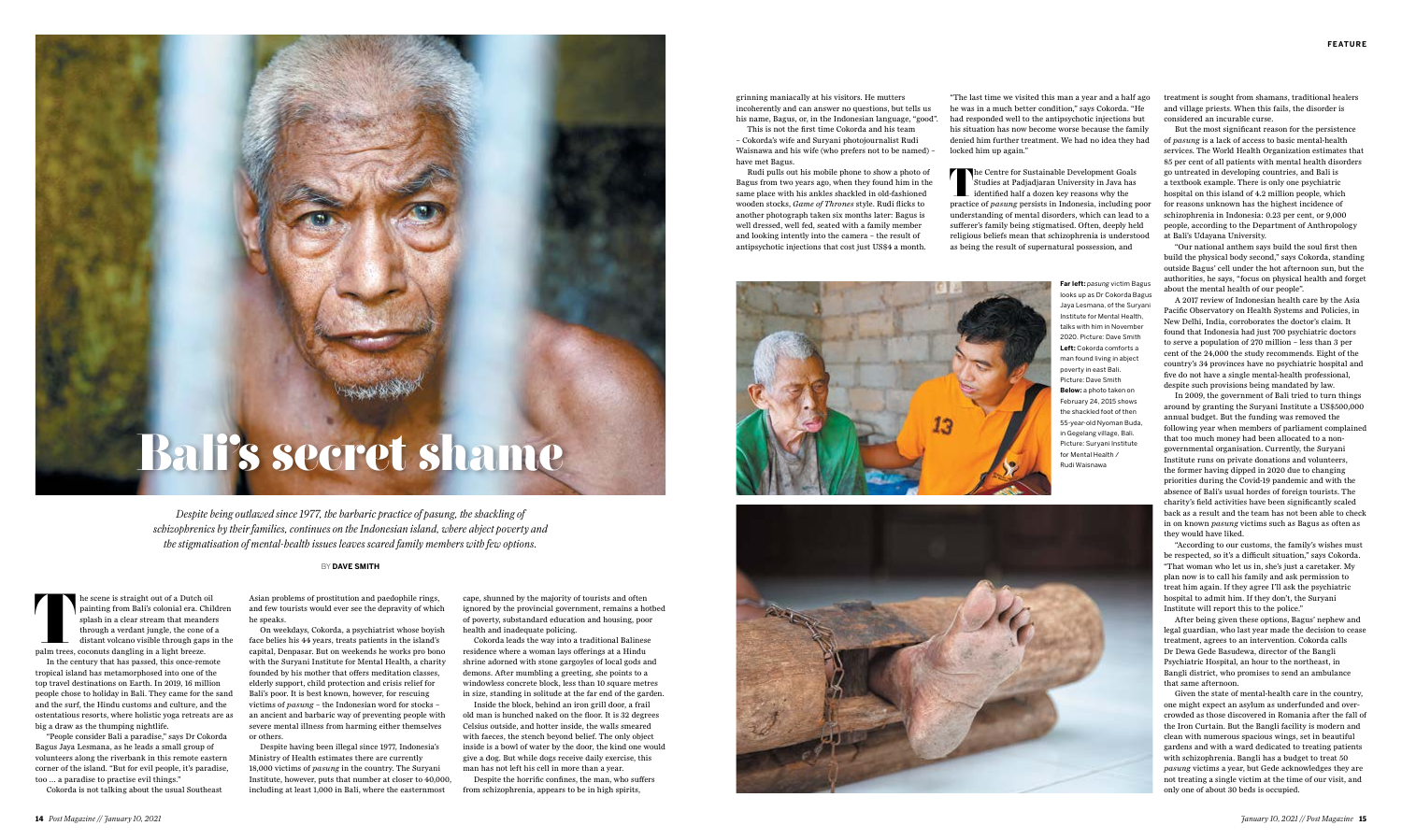The scene is straight out of a Dutch oil<br>
painting from Bali's colonial era. Chil<br>
splash in a clear stream that meander<br>
through a verdant jungle, the cone of<br>
distant volcano visible through gaps if<br>
palm trees, coconuts painting from Bali's colonial era. Children splash in a clear stream that meanders through a verdant jungle, the cone of a distant volcano visible through gaps in the

In the century that has passed, this once-remote

tropical island has metamorphosed into one of the top travel destinations on Earth. In 2019, 16 million people chose to holiday in Bali. They came for the sand and the surf, the Hindu customs and culture, and the ostentatious resorts, where holistic yoga retreats are as big a draw as the thumping nightlife.

"People consider Bali a paradise," says Dr Cokorda Bagus Jaya Lesmana, as he leads a small group of volunteers along the riverbank in this remote eastern corner of the island. "But for evil people, it's paradise, too … a paradise to practise evil things."

Cokorda is not talking about the usual Southeast

Asian problems of prostitution and paedophile rings, and few tourists would ever see the depravity of which he speaks.

On weekdays, Cokorda, a psychiatrist whose boyish face belies his 44 years, treats patients in the island's capital, Denpasar. But on weekends he works pro bono with the Suryani Institute for Mental Health, a charity founded by his mother that offers meditation classes, elderly support, child protection and crisis relief for Bali's poor. It is best known, however, for rescuing victims of *pasung* – the Indonesian word for stocks – an ancient and barbaric way of preventing people with severe mental illness from harming either themselves or others.

Despite having been illegal since 1977, Indonesia's Ministry of Health estimates there are currently 18,000 victims of *pasung* in the country. The Suryani Institute, however, puts that number at closer to 40,000, including at least 1,000 in Bali, where the easternmost





looks up as Dr Cokorda Bagus Jaya Lesmana, of the Suryani Institute for Mental Health, talks with him in November 2020. Picture: Dave Smith **Left:** Cokorda comforts a man found living in abject poverty in east Bali. Picture: Dave Smith **Below:** a photo taken on February 24, 2015 shows the shackled foot of then 55-year-old Nyoman Buda, in Gegelang village, Bali. Picture: Suryani Institute for Mental Health /



## BY **DAVE SMITH**

## Bali's secret shame Rud Rud Waisnawa

*Despite being outlawed since 1977, the barbaric practice of pasung, the shackling of schizophrenics by their families, continues on the Indonesian island, where abject poverty and the stigmatisation of mental-health issues leaves scared family members with few options.*

treatment is sought from shamans, traditional healers and village priests. When this fails, the disorder is considered an incurable curse.

But the most significant reason for the persistence of *pasung* is a lack of access to basic mental-health services. The World Health Organization estimates that 85 per cent of all patients with mental health disorders go untreated in developing countries, and Bali is a textbook example. There is only one psychiatric hospital on this island of 4.2 million people, which for reasons unknown has the highest incidence of schizophrenia in Indonesia: 0.23 per cent, or 9,000 people, according to the Department of Anthropology at Bali's Udayana University.

"Our national anthem says build the soul first then build the physical body second," says Cokorda, standing outside Bagus' cell under the hot afternoon sun, but the authorities, he says, "focus on physical health and forget about the mental health of our people".

A 2017 review of Indonesian health care by the Asia Pacific Observatory on Health Systems and Policies, in New Delhi, India, corroborates the doctor's claim. It found that Indonesia had just 700 psychiatric doctors to serve a population of 270 million – less than 3 per cent of the 24,000 the study recommends. Eight of the country's 34 provinces have no psychiatric hospital and five do not have a single mental-health professional, despite such provisions being mandated by law.

The Centre for Sustainable Development Goals<br>Studies at Padjadjaran University in Java has<br>identified half a dozen key reasons why the<br>practice of *nasure* percists in Indonesia including p Studies at Padjadjaran University in Java has identified half a dozen key reasons why the practice of *pasung* persists in Indonesia, including poor understanding of mental disorders, which can lead to a sufferer's family being stigmatised. Often, deeply held religious beliefs mean that schizophrenia is understood as being the result of supernatural possession, and

> In 2009, the government of Bali tried to turn things around by granting the Suryani Institute a US\$500,000 annual budget. But the funding was removed the following year when members of parliament complained that too much money had been allocated to a nongovernmental organisation. Currently, the Suryani Institute runs on private donations and volunteers, the former having dipped in 2020 due to changing priorities during the Covid-19 pandemic and with the absence of Bali's usual hordes of foreign tourists. The charity's field activities have been significantly scaled back as a result and the team has not been able to check in on known *pasung* victims such as Bagus as often as they would have liked.

"According to our customs, the family's wishes must be respected, so it's a difficult situation," says Cokorda. "That woman who let us in, she's just a caretaker. My plan now is to call his family and ask permission to treat him again. If they agree I'll ask the psychiatric hospital to admit him. If they don't, the Suryani Institute will report this to the police."

After being given these options, Bagus' nephew and legal guardian, who last year made the decision to cease treatment, agrees to an intervention. Cokorda calls Dr Dewa Gede Basudewa, director of the Bangli Psychiatric Hospital, an hour to the northeast, in Bangli district, who promises to send an ambulance that same afternoon.

Given the state of mental-health care in the country, one might expect an asylum as underfunded and overcrowded as those discovered in Romania after the fall of the Iron Curtain. But the Bangli facility is modern and clean with numerous spacious wings, set in beautiful gardens and with a ward dedicated to treating patients with schizophrenia. Bangli has a budget to treat 50 *pasung* victims a year, but Gede acknowledges they are not treating a single victim at the time of our visit, and only one of about 30 beds is occupied.

cape, shunned by the majority of tourists and often ignored by the provincial government, remains a hotbed of poverty, substandard education and housing, poor health and inadequate policing.

Cokorda leads the way into a traditional Balinese residence where a woman lays offerings at a Hindu shrine adorned with stone gargoyles of local gods and demons. After mumbling a greeting, she points to a windowless concrete block, less than 10 square metres in size, standing in solitude at the far end of the garden.

Inside the block, behind an iron grill door, a frail old man is hunched naked on the floor. It is 32 degrees Celsius outside, and hotter inside, the walls smeared with faeces, the stench beyond belief. The only object inside is a bowl of water by the door, the kind one would give a dog. But while dogs receive daily exercise, this man has not left his cell in more than a year.

Despite the horrific confines, the man, who suffers from schizophrenia, appears to be in high spirits,

grinning maniacally at his visitors. He mutters incoherently and can answer no questions, but tells us his name, Bagus, or, in the Indonesian language, "good". This is not the first time Cokorda and his team – Cokorda's wife and Suryani photojournalist Rudi Waisnawa and his wife (who prefers not to be named) –

have met Bagus.

Rudi pulls out his mobile phone to show a photo of Bagus from two years ago, when they found him in the same place with his ankles shackled in old-fashioned wooden stocks, *Game of Thrones* style. Rudi flicks to another photograph taken six months later: Bagus is well dressed, well fed, seated with a family member and looking intently into the camera – the result of antipsychotic injections that cost just US\$4 a month.

"The last time we visited this man a year and a half ago he was in a much better condition," says Cokorda. "He had responded well to the antipsychotic injections but his situation has now become worse because the family denied him further treatment. We had no idea they had locked him up again."